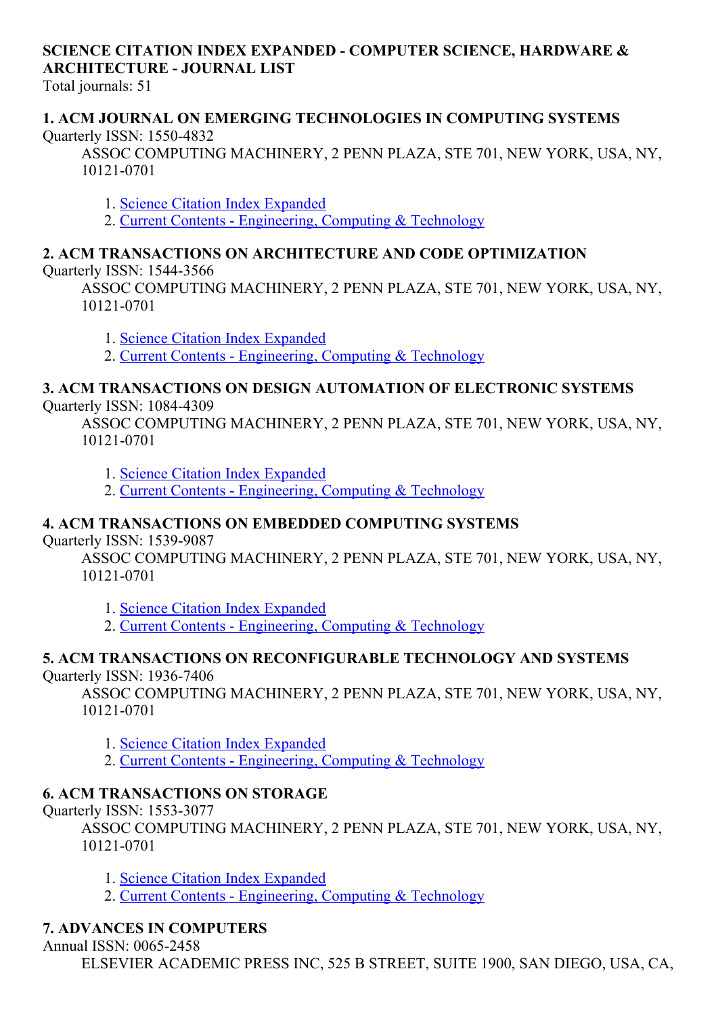# SCIENCE CITATION INDEX EXPANDED COMPUTER SCIENCE, HARDWARE & ARCHITECTURE JOURNAL LIST

Total journals: 51

#### 1. ACM JOURNAL ON EMERGING TECHNOLOGIES IN COMPUTING SYSTEMS Quarterly ISSN: 15504832

ASSOC COMPUTING MACHINERY, 2 PENN PLAZA, STE 701, NEW YORK, USA, NY, 10121-0701

1. Science Citation Index [Expanded](http://thomsonreuters.com/science-citation-index-expanded)

2. Current Contents - [Engineering,](http://thomsonreuters.com/current-contents-connect) Computing & Technology

# 2. ACM TRANSACTIONS ON ARCHITECTURE AND CODE OPTIMIZATION

Quarterly ISSN: 15443566

ASSOC COMPUTING MACHINERY, 2 PENN PLAZA, STE 701, NEW YORK, USA, NY, 10121-0701

1. Science Citation Index [Expanded](http://thomsonreuters.com/science-citation-index-expanded)

2. Current Contents - [Engineering,](http://thomsonreuters.com/current-contents-connect) Computing & Technology

# 3. ACM TRANSACTIONS ON DESIGN AUTOMATION OF ELECTRONIC SYSTEMS

Quarterly ISSN: 1084-4309

ASSOC COMPUTING MACHINERY, 2 PENN PLAZA, STE 701, NEW YORK, USA, NY, 10121-0701

1. Science Citation Index [Expanded](http://thomsonreuters.com/science-citation-index-expanded)

2. Current Contents - [Engineering,](http://thomsonreuters.com/current-contents-connect) Computing & Technology

# 4. ACM TRANSACTIONS ON EMBEDDED COMPUTING SYSTEMS

Quarterly ISSN: 1539-9087

ASSOC COMPUTING MACHINERY, 2 PENN PLAZA, STE 701, NEW YORK, USA, NY, 10121-0701

1. Science Citation Index [Expanded](http://thomsonreuters.com/science-citation-index-expanded)

2. Current Contents - [Engineering,](http://thomsonreuters.com/current-contents-connect) Computing & Technology

#### 5. ACM TRANSACTIONS ON RECONFIGURABLE TECHNOLOGY AND SYSTEMS Quarterly ISSN: 1936-7406

ASSOC COMPUTING MACHINERY, 2 PENN PLAZA, STE 701, NEW YORK, USA, NY, 10121-0701

1. Science Citation Index [Expanded](http://thomsonreuters.com/science-citation-index-expanded)

2. Current Contents - [Engineering,](http://thomsonreuters.com/current-contents-connect) Computing & Technology

# 6. ACM TRANSACTIONS ON STORAGE

Quarterly ISSN: 1553-3077

ASSOC COMPUTING MACHINERY, 2 PENN PLAZA, STE 701, NEW YORK, USA, NY, 10121-0701

1. Science Citation Index [Expanded](http://thomsonreuters.com/science-citation-index-expanded)

2. Current Contents - [Engineering,](http://thomsonreuters.com/current-contents-connect) Computing & Technology

# 7. ADVANCES IN COMPUTERS

Annual ISSN: 0065-2458

ELSEVIER ACADEMIC PRESS INC, 525 B STREET, SUITE 1900, SAN DIEGO, USA, CA,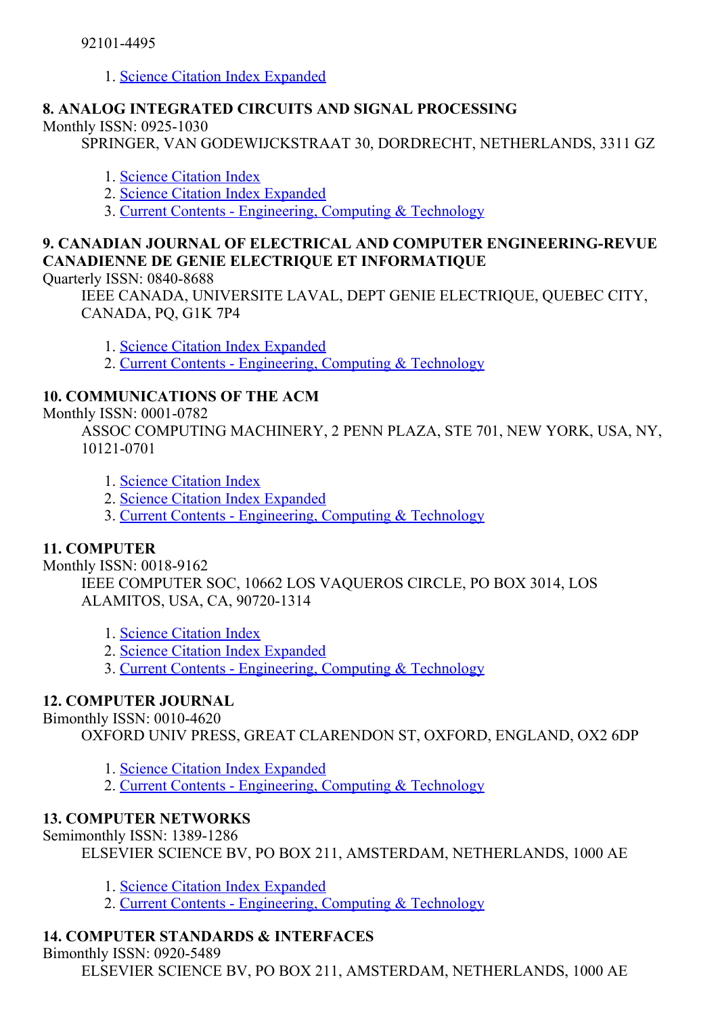1. Science Citation Index [Expanded](http://thomsonreuters.com/science-citation-index-expanded)

#### 8. ANALOG INTEGRATED CIRCUITS AND SIGNAL PROCESSING

Monthly ISSN: 0925-1030

SPRINGER, VAN GODEWIJCKSTRAAT 30, DORDRECHT, NETHERLANDS, 3311 GZ

- 1. Science [Citation](http://thomsonreuters.com/science-citation-index-expanded) Index
- 2. Science Citation Index [Expanded](http://thomsonreuters.com/science-citation-index-expanded)
- 3. Current Contents [Engineering,](http://thomsonreuters.com/current-contents-connect) Computing & Technology

# 9. CANADIAN JOURNAL OF ELECTRICAL AND COMPUTER ENGINEERING-REVUE CANADIENNE DE GENIE ELECTRIQUE ET INFORMATIQUE

Quarterly ISSN: 0840-8688

IEEE CANADA, UNIVERSITE LAVAL, DEPT GENIE ELECTRIQUE, QUEBEC CITY, CANADA, PQ, G1K 7P4

1. Science Citation Index [Expanded](http://thomsonreuters.com/science-citation-index-expanded)

2. Current Contents [Engineering,](http://thomsonreuters.com/current-contents-connect) Computing & Technology

# 10. COMMUNICATIONS OF THE ACM

Monthly ISSN: 0001-0782

ASSOC COMPUTING MACHINERY, 2 PENN PLAZA, STE 701, NEW YORK, USA, NY, 10121-0701

- 1. Science [Citation](http://thomsonreuters.com/science-citation-index-expanded) Index
- 2. Science Citation Index [Expanded](http://thomsonreuters.com/science-citation-index-expanded)
- 3. Current Contents [Engineering,](http://thomsonreuters.com/current-contents-connect) Computing & Technology

#### 11. COMPUTER

Monthly ISSN: 0018-9162

IEEE COMPUTER SOC, 10662 LOS VAQUEROS CIRCLE, PO BOX 3014, LOS ALAMITOS, USA, CA, 90720-1314

- 1. Science [Citation](http://thomsonreuters.com/science-citation-index-expanded) Index
- 2. Science Citation Index [Expanded](http://thomsonreuters.com/science-citation-index-expanded)
- 3. Current Contents [Engineering,](http://thomsonreuters.com/current-contents-connect) Computing & Technology

#### 12. COMPUTER JOURNAL

#### Bimonthly ISSN: 0010-4620

OXFORD UNIV PRESS, GREAT CLARENDON ST, OXFORD, ENGLAND, OX2 6DP

- 1. Science Citation Index [Expanded](http://thomsonreuters.com/science-citation-index-expanded)
- 2. Current Contents [Engineering,](http://thomsonreuters.com/current-contents-connect) Computing & Technology

#### 13. COMPUTER NETWORKS

Semimonthly ISSN: 1389-1286

ELSEVIER SCIENCE BV, PO BOX 211, AMSTERDAM, NETHERLANDS, 1000 AE

- 1. Science Citation Index [Expanded](http://thomsonreuters.com/science-citation-index-expanded)
- 2. Current Contents [Engineering,](http://thomsonreuters.com/current-contents-connect) Computing & Technology

# 14. COMPUTER STANDARDS & INTERFACES

Bimonthly ISSN: 0920-5489

ELSEVIER SCIENCE BV, PO BOX 211, AMSTERDAM, NETHERLANDS, 1000 AE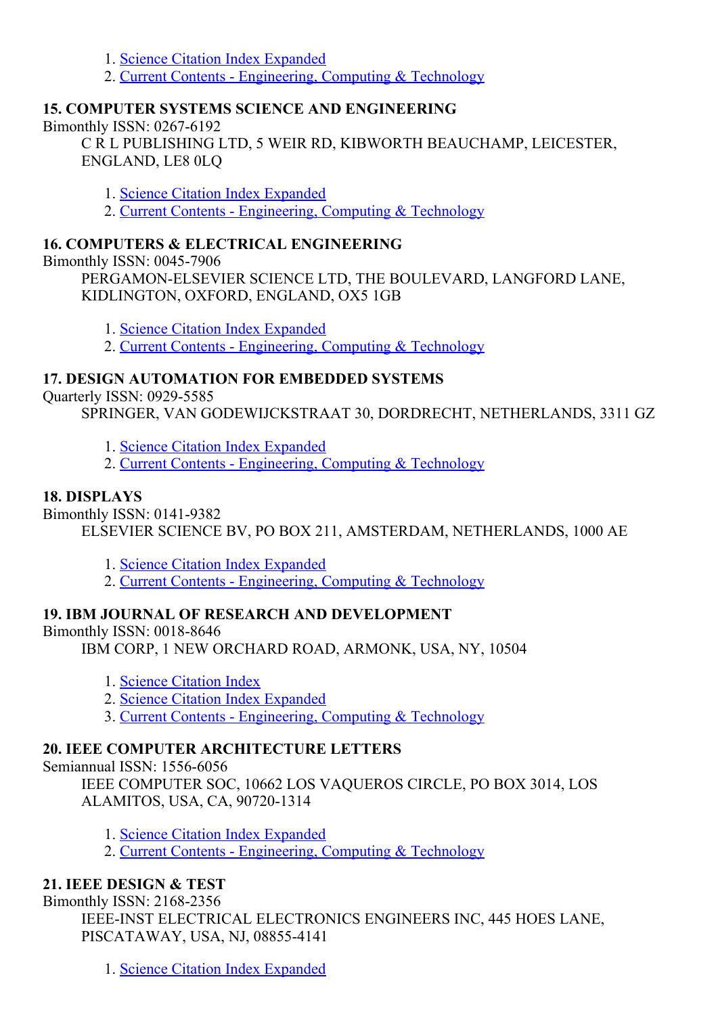- 1. Science Citation Index [Expanded](http://thomsonreuters.com/science-citation-index-expanded)
- 2. Current Contents [Engineering,](http://thomsonreuters.com/current-contents-connect) Computing & Technology

# 15. COMPUTER SYSTEMS SCIENCE AND ENGINEERING

#### Bimonthly ISSN:  $0267-6192$

C R L PUBLISHING LTD, 5 WEIR RD, KIBWORTH BEAUCHAMP, LEICESTER, ENGLAND, LE8 0LQ

- 1. Science Citation Index [Expanded](http://thomsonreuters.com/science-citation-index-expanded)
- 2. Current Contents [Engineering,](http://thomsonreuters.com/current-contents-connect) Computing & Technology

#### 16. COMPUTERS & ELECTRICAL ENGINEERING

Bimonthly ISSN: 0045-7906

PERGAMON-ELSEVIER SCIENCE LTD, THE BOULEVARD, LANGFORD LANE, KIDLINGTON, OXFORD, ENGLAND, OX5 1GB

- 1. Science Citation Index [Expanded](http://thomsonreuters.com/science-citation-index-expanded)
- 2. Current Contents [Engineering,](http://thomsonreuters.com/current-contents-connect) Computing & Technology

# 17. DESIGN AUTOMATION FOR EMBEDDED SYSTEMS

**Ouarterly ISSN: 0929-5585** 

SPRINGER, VAN GODEWIJCKSTRAAT 30, DORDRECHT, NETHERLANDS, 3311 GZ

- 1. Science Citation Index [Expanded](http://thomsonreuters.com/science-citation-index-expanded)
- 2. Current Contents [Engineering,](http://thomsonreuters.com/current-contents-connect) Computing & Technology

# 18. DISPLAYS

**Bimonthly ISSN: 0141-9382** 

ELSEVIER SCIENCE BV, PO BOX 211, AMSTERDAM, NETHERLANDS, 1000 AE

- 1. Science Citation Index [Expanded](http://thomsonreuters.com/science-citation-index-expanded)
- 2. Current Contents [Engineering,](http://thomsonreuters.com/current-contents-connect) Computing & Technology

# 19. IBM JOURNAL OF RESEARCH AND DEVELOPMENT

#### Bimonthly ISSN: 0018-8646

IBM CORP, 1 NEW ORCHARD ROAD, ARMONK, USA, NY, 10504

- 1. Science [Citation](http://thomsonreuters.com/science-citation-index-expanded) Index
- 2. Science Citation Index [Expanded](http://thomsonreuters.com/science-citation-index-expanded)
- 3. Current Contents [Engineering,](http://thomsonreuters.com/current-contents-connect) Computing & Technology

#### 20. IEEE COMPUTER ARCHITECTURE LETTERS

Semiannual ISSN: 1556-6056

IEEE COMPUTER SOC, 10662 LOS VAQUEROS CIRCLE, PO BOX 3014, LOS ALAMITOS, USA, CA, 90720-1314

- 1. Science Citation Index [Expanded](http://thomsonreuters.com/science-citation-index-expanded)
- 2. Current Contents [Engineering,](http://thomsonreuters.com/current-contents-connect) Computing & Technology

# 21. IEEE DESIGN & TEST

Bimonthly ISSN: 2168-2356

IEEE-INST ELECTRICAL ELECTRONICS ENGINEERS INC, 445 HOES LANE, PISCATAWAY, USA, NJ, 088554141

1. Science Citation Index [Expanded](http://thomsonreuters.com/science-citation-index-expanded)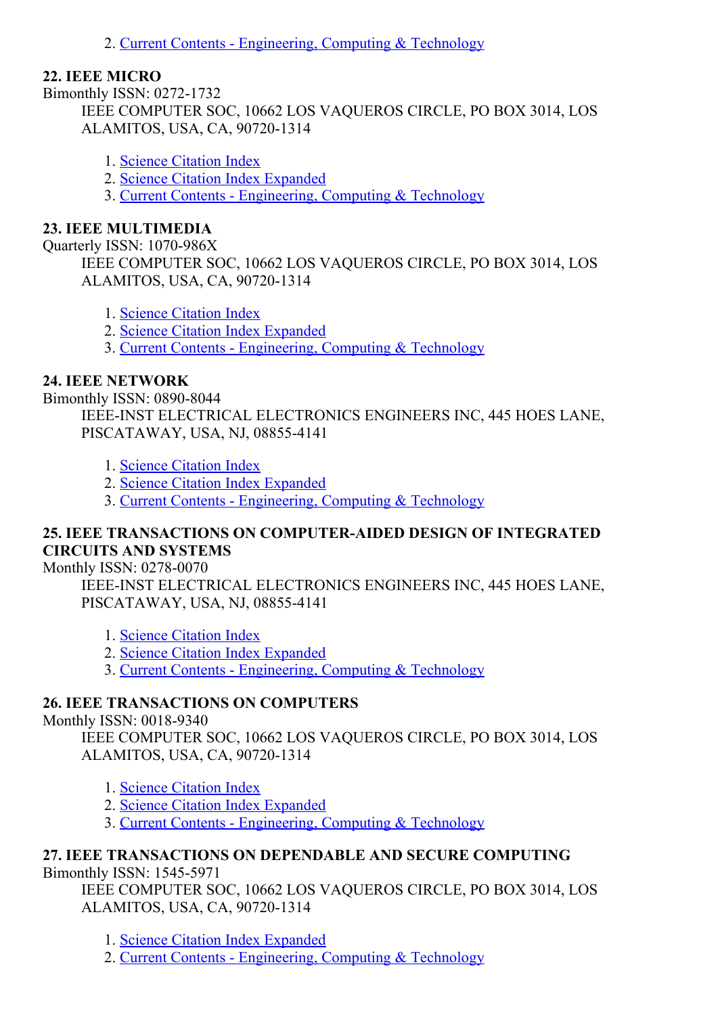2. Current Contents - [Engineering,](http://thomsonreuters.com/current-contents-connect) Computing & Technology

#### 22. IEEE MICRO

Bimonthly ISSN: 0272-1732 IEEE COMPUTER SOC, 10662 LOS VAQUEROS CIRCLE, PO BOX 3014, LOS ALAMITOS, USA, CA, 90720-1314

- 1. Science [Citation](http://thomsonreuters.com/science-citation-index-expanded) Index
- 2. Science Citation Index [Expanded](http://thomsonreuters.com/science-citation-index-expanded)
- 3. Current Contents [Engineering,](http://thomsonreuters.com/current-contents-connect) Computing & Technology

#### 23. IEEE MULTIMEDIA

Quarterly ISSN: 1070-986X

IEEE COMPUTER SOC, 10662 LOS VAQUEROS CIRCLE, PO BOX 3014, LOS ALAMITOS, USA, CA, 90720-1314

- 1. Science [Citation](http://thomsonreuters.com/science-citation-index-expanded) Index
- 2. Science Citation Index [Expanded](http://thomsonreuters.com/science-citation-index-expanded)
- 3. Current Contents [Engineering,](http://thomsonreuters.com/current-contents-connect) Computing & Technology

# 24. IEEE NETWORK

Bimonthly ISSN: 0890-8044

IEEE-INST ELECTRICAL ELECTRONICS ENGINEERS INC, 445 HOES LANE, PISCATAWAY, USA, NJ, 088554141

- 1. Science [Citation](http://thomsonreuters.com/science-citation-index-expanded) Index
- 2. Science Citation Index [Expanded](http://thomsonreuters.com/science-citation-index-expanded)
- 3. Current Contents [Engineering,](http://thomsonreuters.com/current-contents-connect) Computing & Technology

# 25. IEEE TRANSACTIONS ON COMPUTERAIDED DESIGN OF INTEGRATED CIRCUITS AND SYSTEMS

#### Monthly ISSN: 0278-0070

IEEE-INST ELECTRICAL ELECTRONICS ENGINEERS INC, 445 HOES LANE, PISCATAWAY, USA, NJ, 088554141

- 1. Science [Citation](http://thomsonreuters.com/science-citation-index-expanded) Index
- 2. Science Citation Index [Expanded](http://thomsonreuters.com/science-citation-index-expanded)
- 3. Current Contents [Engineering,](http://thomsonreuters.com/current-contents-connect) Computing & Technology

# 26. IEEE TRANSACTIONS ON COMPUTERS

#### Monthly ISSN: 0018-9340

IEEE COMPUTER SOC, 10662 LOS VAQUEROS CIRCLE, PO BOX 3014, LOS ALAMITOS, USA, CA, 90720-1314

- 1. Science [Citation](http://thomsonreuters.com/science-citation-index-expanded) Index
- 2. Science Citation Index [Expanded](http://thomsonreuters.com/science-citation-index-expanded)
- 3. Current Contents [Engineering,](http://thomsonreuters.com/current-contents-connect) Computing & Technology

# 27. IEEE TRANSACTIONS ON DEPENDABLE AND SECURE COMPUTING

Bimonthly ISSN: 1545-5971

IEEE COMPUTER SOC, 10662 LOS VAQUEROS CIRCLE, PO BOX 3014, LOS ALAMITOS, USA, CA, 90720-1314

1. Science Citation Index [Expanded](http://thomsonreuters.com/science-citation-index-expanded)

2. Current Contents - [Engineering,](http://thomsonreuters.com/current-contents-connect) Computing & Technology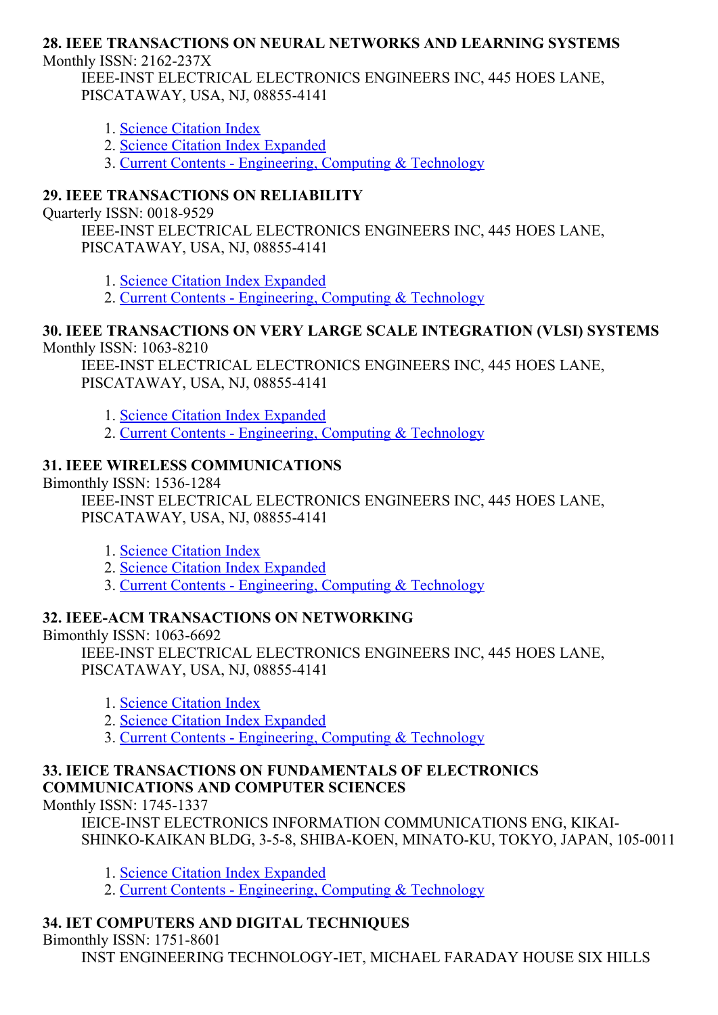#### 28. IEEE TRANSACTIONS ON NEURAL NETWORKS AND LEARNING SYSTEMS Monthly ISSN:  $2162-237X$

IEEE-INST ELECTRICAL ELECTRONICS ENGINEERS INC, 445 HOES LANE, PISCATAWAY, USA, NJ, 088554141

- 1. Science [Citation](http://thomsonreuters.com/science-citation-index-expanded) Index
- 2. Science Citation Index [Expanded](http://thomsonreuters.com/science-citation-index-expanded)

3. Current Contents [Engineering,](http://thomsonreuters.com/current-contents-connect) Computing & Technology

# 29. IEEE TRANSACTIONS ON RELIABILITY

Ouarterly ISSN: 0018-9529

IEEE-INST ELECTRICAL ELECTRONICS ENGINEERS INC, 445 HOES LANE, PISCATAWAY, USA, NJ, 088554141

1. Science Citation Index [Expanded](http://thomsonreuters.com/science-citation-index-expanded)

2. Current Contents - [Engineering,](http://thomsonreuters.com/current-contents-connect) Computing & Technology

#### 30. IEEE TRANSACTIONS ON VERY LARGE SCALE INTEGRATION (VLSI) SYSTEMS Monthly ISSN:  $1063-8210$

IEEE-INST ELECTRICAL ELECTRONICS ENGINEERS INC, 445 HOES LANE, PISCATAWAY, USA, NJ, 088554141

- 1. Science Citation Index [Expanded](http://thomsonreuters.com/science-citation-index-expanded)
- 2. Current Contents [Engineering,](http://thomsonreuters.com/current-contents-connect) Computing & Technology

# 31. IEEE WIRELESS COMMUNICATIONS

Bimonthly ISSN: 1536-1284

IEEE-INST ELECTRICAL ELECTRONICS ENGINEERS INC, 445 HOES LANE, PISCATAWAY, USA, NJ, 088554141

- 1. Science [Citation](http://thomsonreuters.com/science-citation-index-expanded) Index
- 2. Science Citation Index [Expanded](http://thomsonreuters.com/science-citation-index-expanded)
- 3. Current Contents [Engineering,](http://thomsonreuters.com/current-contents-connect) Computing & Technology

# 32. IEEEACM TRANSACTIONS ON NETWORKING

Bimonthly ISSN:  $1063-6692$ IEEE-INST ELECTRICAL ELECTRONICS ENGINEERS INC, 445 HOES LANE, PISCATAWAY, USA, NJ, 088554141

- 1. Science [Citation](http://thomsonreuters.com/science-citation-index-expanded) Index
- 2. Science Citation Index [Expanded](http://thomsonreuters.com/science-citation-index-expanded)
- 3. Current Contents [Engineering,](http://thomsonreuters.com/current-contents-connect) Computing & Technology

#### 33. IEICE TRANSACTIONS ON FUNDAMENTALS OF ELECTRONICS COMMUNICATIONS AND COMPUTER SCIENCES

Monthly ISSN: 1745-1337

IEICE-INST ELECTRONICS INFORMATION COMMUNICATIONS ENG. KIKAI-SHINKO-KAIKAN BLDG, 3-5-8, SHIBA-KOEN, MINATO-KU, TOKYO, JAPAN, 105-0011

- 1. Science Citation Index [Expanded](http://thomsonreuters.com/science-citation-index-expanded)
- 2. Current Contents [Engineering,](http://thomsonreuters.com/current-contents-connect) Computing & Technology

# 34. IET COMPUTERS AND DIGITAL TECHNIQUES

Bimonthly ISSN: 1751-8601

INST ENGINEERING TECHNOLOGY-IET, MICHAEL FARADAY HOUSE SIX HILLS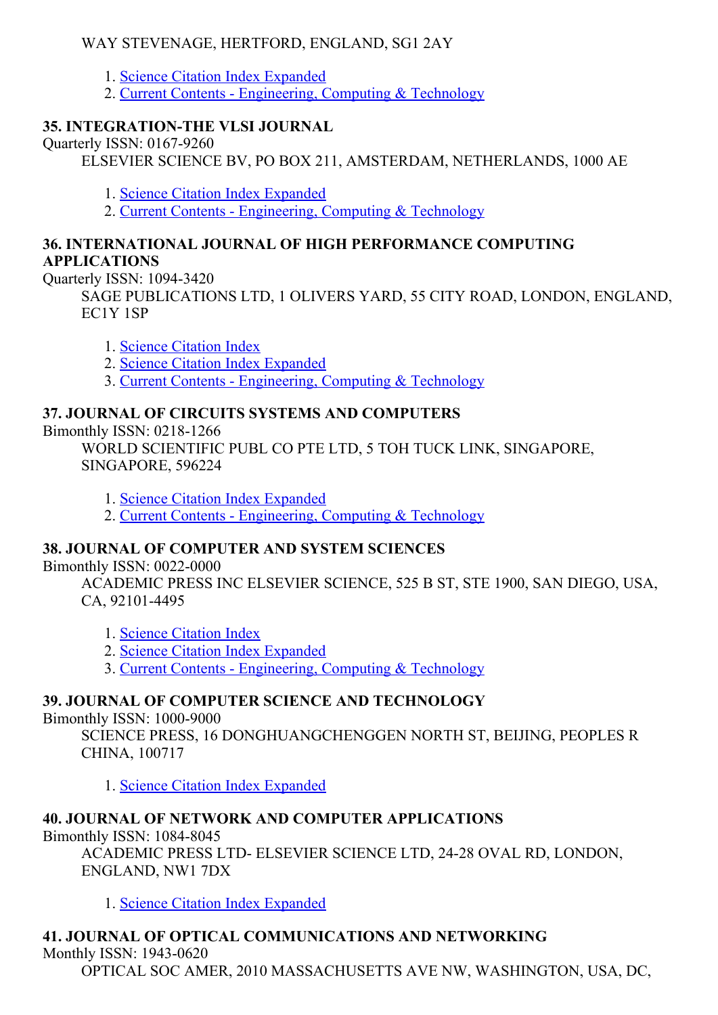# WAY STEVENAGE, HERTFORD, ENGLAND, SG1 2AY

- 1. Science Citation Index [Expanded](http://thomsonreuters.com/science-citation-index-expanded)
- 2. Current Contents [Engineering,](http://thomsonreuters.com/current-contents-connect) Computing & Technology

# 35. INTEGRATION-THE VLSI JOURNAL

Quarterly ISSN: 0167-9260

ELSEVIER SCIENCE BV, PO BOX 211, AMSTERDAM, NETHERLANDS, 1000 AE

- 1. Science Citation Index [Expanded](http://thomsonreuters.com/science-citation-index-expanded)
- 2. Current Contents [Engineering,](http://thomsonreuters.com/current-contents-connect) Computing & Technology

#### 36. INTERNATIONAL JOURNAL OF HIGH PERFORMANCE COMPUTING APPLICATIONS

Quarterly ISSN: 1094-3420

SAGE PUBLICATIONS LTD, 1 OLIVERS YARD, 55 CITY ROAD, LONDON, ENGLAND, EC1Y 1SP

1. Science [Citation](http://thomsonreuters.com/science-citation-index-expanded) Index

- 2. Science Citation Index [Expanded](http://thomsonreuters.com/science-citation-index-expanded)
- 3. Current Contents [Engineering,](http://thomsonreuters.com/current-contents-connect) Computing & Technology

# 37. JOURNAL OF CIRCUITS SYSTEMS AND COMPUTERS

Bimonthly ISSN:  $0218-1266$ 

WORLD SCIENTIFIC PUBL CO PTE LTD, 5 TOH TUCK LINK, SINGAPORE, SINGAPORE, 596224

- 1. Science Citation Index [Expanded](http://thomsonreuters.com/science-citation-index-expanded)
- 2. Current Contents [Engineering,](http://thomsonreuters.com/current-contents-connect) Computing & Technology

# 38. JOURNAL OF COMPUTER AND SYSTEM SCIENCES

Bimonthly ISSN: 0022-0000

ACADEMIC PRESS INC ELSEVIER SCIENCE, 525 B ST, STE 1900, SAN DIEGO, USA, CA, 92101-4495

- 1. Science [Citation](http://thomsonreuters.com/science-citation-index-expanded) Index
- 2. Science Citation Index [Expanded](http://thomsonreuters.com/science-citation-index-expanded)
- 3. Current Contents [Engineering,](http://thomsonreuters.com/current-contents-connect) Computing & Technology

# 39. JOURNAL OF COMPUTER SCIENCE AND TECHNOLOGY

#### Bimonthly ISSN: 1000-9000

SCIENCE PRESS, 16 DONGHUANGCHENGGEN NORTH ST, BEIJING, PEOPLES R CHINA, 100717

1. Science Citation Index [Expanded](http://thomsonreuters.com/science-citation-index-expanded)

# 40. JOURNAL OF NETWORK AND COMPUTER APPLICATIONS

Bimonthly ISSN: 1084-8045

ACADEMIC PRESS LTD- ELSEVIER SCIENCE LTD, 24-28 OVAL RD, LONDON, ENGLAND, NW1 7DX

1. Science Citation Index [Expanded](http://thomsonreuters.com/science-citation-index-expanded)

# 41. JOURNAL OF OPTICAL COMMUNICATIONS AND NETWORKING

Monthly ISSN: 1943-0620

OPTICAL SOC AMER, 2010 MASSACHUSETTS AVE NW, WASHINGTON, USA, DC,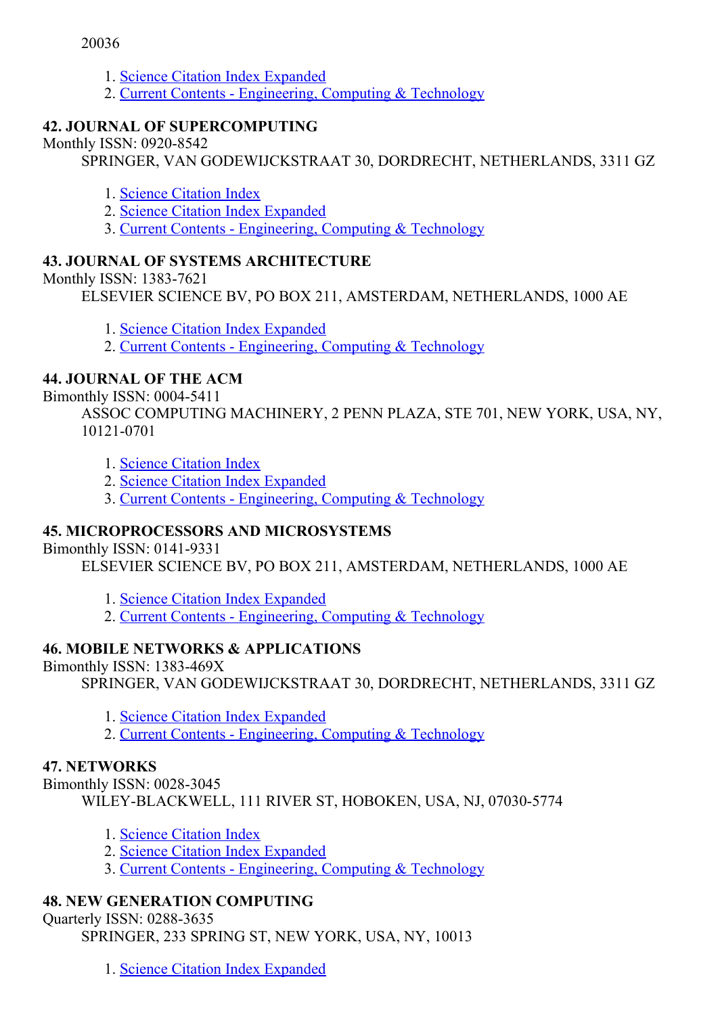- 1. Science Citation Index [Expanded](http://thomsonreuters.com/science-citation-index-expanded)
- 2. Current Contents [Engineering,](http://thomsonreuters.com/current-contents-connect) Computing & Technology

# 42. JOURNAL OF SUPERCOMPUTING

Monthly ISSN: 0920-8542

SPRINGER, VAN GODEWIJCKSTRAAT 30, DORDRECHT, NETHERLANDS, 3311 GZ

- 1. Science [Citation](http://thomsonreuters.com/science-citation-index-expanded) Index
- 2. Science Citation Index [Expanded](http://thomsonreuters.com/science-citation-index-expanded)
- 3. Current Contents [Engineering,](http://thomsonreuters.com/current-contents-connect) Computing & Technology

# 43. JOURNAL OF SYSTEMS ARCHITECTURE

Monthly ISSN: 1383-7621

ELSEVIER SCIENCE BV, PO BOX 211, AMSTERDAM, NETHERLANDS, 1000 AE

1. Science Citation Index [Expanded](http://thomsonreuters.com/science-citation-index-expanded)

2. Current Contents - [Engineering,](http://thomsonreuters.com/current-contents-connect) Computing & Technology

#### 44. JOURNAL OF THE ACM

Bimonthly ISSN: 00045411

ASSOC COMPUTING MACHINERY, 2 PENN PLAZA, STE 701, NEW YORK, USA, NY, 10121-0701

1. Science [Citation](http://thomsonreuters.com/science-citation-index-expanded) Index

2. Science Citation Index [Expanded](http://thomsonreuters.com/science-citation-index-expanded)

3. Current Contents - [Engineering,](http://thomsonreuters.com/current-contents-connect) Computing & Technology

# 45. MICROPROCESSORS AND MICROSYSTEMS

Bimonthly ISSN: 0141-9331

ELSEVIER SCIENCE BV, PO BOX 211, AMSTERDAM, NETHERLANDS, 1000 AE

- 1. Science Citation Index [Expanded](http://thomsonreuters.com/science-citation-index-expanded)
- 2. Current Contents [Engineering,](http://thomsonreuters.com/current-contents-connect) Computing & Technology

#### 46. MOBILE NETWORKS & APPLICATIONS

Bimonthly ISSN: 1383-469X

SPRINGER, VAN GODEWIJCKSTRAAT 30, DORDRECHT, NETHERLANDS, 3311 GZ

1. Science Citation Index [Expanded](http://thomsonreuters.com/science-citation-index-expanded)

2. Current Contents - [Engineering,](http://thomsonreuters.com/current-contents-connect) Computing & Technology

#### 47. NETWORKS

Bimonthly ISSN: 0028-3045 WILEY-BLACKWELL, 111 RIVER ST, HOBOKEN, USA, NJ, 07030-5774

- 1. Science [Citation](http://thomsonreuters.com/science-citation-index-expanded) Index
- 2. Science Citation Index [Expanded](http://thomsonreuters.com/science-citation-index-expanded)
- 3. Current Contents [Engineering,](http://thomsonreuters.com/current-contents-connect) Computing & Technology

#### 48. NEW GENERATION COMPUTING

Ouarterly ISSN: 0288-3635

SPRINGER, 233 SPRING ST, NEW YORK, USA, NY, 10013

1. Science Citation Index [Expanded](http://thomsonreuters.com/science-citation-index-expanded)